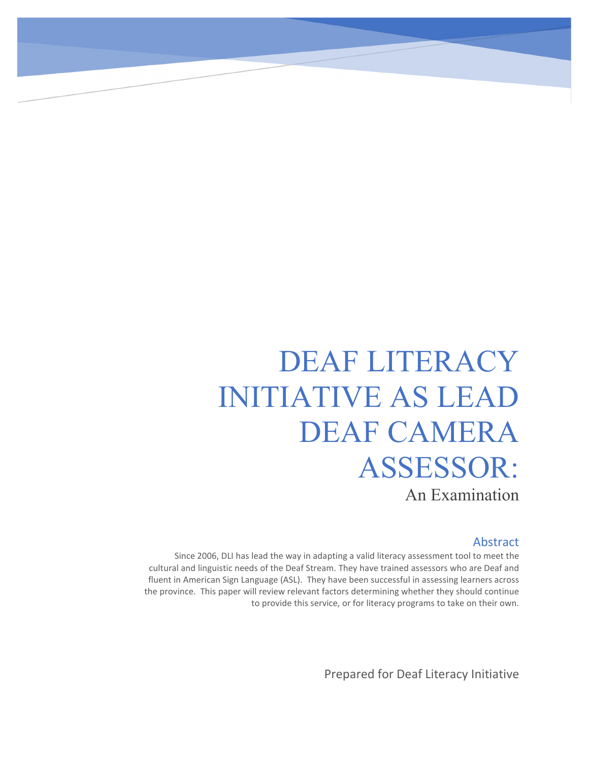# DEAF LITERACY INITIATIVE AS LEAD DEAF CAMERA ASSESSOR: An Examination

Abstract Since 2006, DLI has lead the way in adapting a valid literacy assessment tool to meet the cultural and linguistic needs of the Deaf Stream. They have trained assessors who are Deaf and fluent in American Sign Language (ASL). They have been successful in assessing learners across the province. This paper will review relevant factors determining whether they should continue to provide this service, or for literacy programs to take on their own.

Prepared for Deaf Literacy Initiative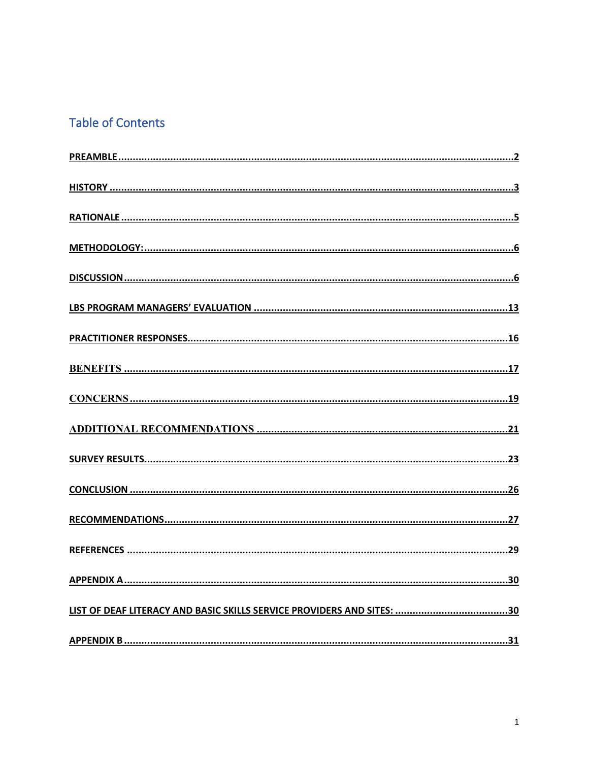# **Table of Contents**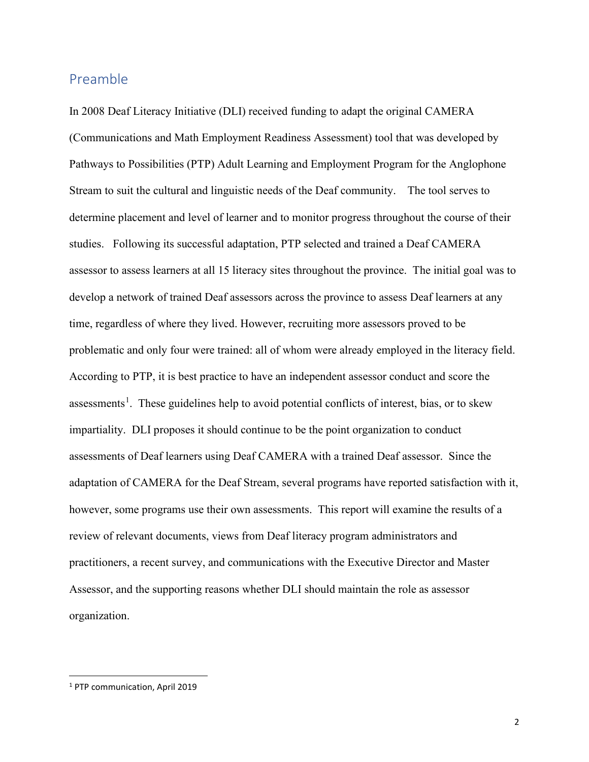#### <span id="page-2-0"></span>Preamble

In 2008 Deaf Literacy Initiative (DLI) received funding to adapt the original CAMERA (Communications and Math Employment Readiness Assessment) tool that was developed by Pathways to Possibilities (PTP) Adult Learning and Employment Program for the Anglophone Stream to suit the cultural and linguistic needs of the Deaf community. The tool serves to determine placement and level of learner and to monitor progress throughout the course of their studies. Following its successful adaptation, PTP selected and trained a Deaf CAMERA assessor to assess learners at all 15 literacy sites throughout the province. The initial goal was to develop a network of trained Deaf assessors across the province to assess Deaf learners at any time, regardless of where they lived. However, recruiting more assessors proved to be problematic and only four were trained: all of whom were already employed in the literacy field. According to PTP, it is best practice to have an independent assessor conduct and score the assessments<sup>[1](#page-2-1)</sup>. These guidelines help to avoid potential conflicts of interest, bias, or to skew impartiality. DLI proposes it should continue to be the point organization to conduct assessments of Deaf learners using Deaf CAMERA with a trained Deaf assessor. Since the adaptation of CAMERA for the Deaf Stream, several programs have reported satisfaction with it, however, some programs use their own assessments. This report will examine the results of a review of relevant documents, views from Deaf literacy program administrators and practitioners, a recent survey, and communications with the Executive Director and Master Assessor, and the supporting reasons whether DLI should maintain the role as assessor organization.

<span id="page-2-1"></span><sup>1</sup> PTP communication, April 2019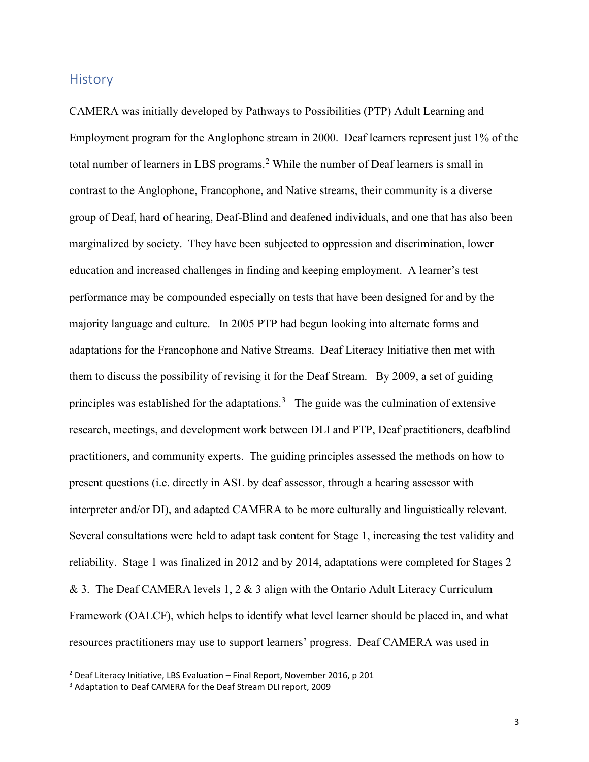#### <span id="page-3-0"></span>**History**

CAMERA was initially developed by Pathways to Possibilities (PTP) Adult Learning and Employment program for the Anglophone stream in 2000. Deaf learners represent just 1% of the total number of learners in LBS programs.<sup>[2](#page-3-1)</sup> While the number of Deaf learners is small in contrast to the Anglophone, Francophone, and Native streams, their community is a diverse group of Deaf, hard of hearing, Deaf-Blind and deafened individuals, and one that has also been marginalized by society. They have been subjected to oppression and discrimination, lower education and increased challenges in finding and keeping employment. A learner's test performance may be compounded especially on tests that have been designed for and by the majority language and culture. In 2005 PTP had begun looking into alternate forms and adaptations for the Francophone and Native Streams. Deaf Literacy Initiative then met with them to discuss the possibility of revising it for the Deaf Stream. By 2009, a set of guiding principles was established for the adaptations.<sup>[3](#page-3-2)</sup> The guide was the culmination of extensive research, meetings, and development work between DLI and PTP, Deaf practitioners, deafblind practitioners, and community experts. The guiding principles assessed the methods on how to present questions (i.e. directly in ASL by deaf assessor, through a hearing assessor with interpreter and/or DI), and adapted CAMERA to be more culturally and linguistically relevant. Several consultations were held to adapt task content for Stage 1, increasing the test validity and reliability. Stage 1 was finalized in 2012 and by 2014, adaptations were completed for Stages 2 & 3. The Deaf CAMERA levels 1, 2 & 3 align with the Ontario Adult Literacy Curriculum Framework (OALCF), which helps to identify what level learner should be placed in, and what resources practitioners may use to support learners' progress. Deaf CAMERA was used in

<span id="page-3-1"></span><sup>2</sup> Deaf Literacy Initiative, LBS Evaluation – Final Report, November 2016, p 201

<span id="page-3-2"></span><sup>3</sup> Adaptation to Deaf CAMERA for the Deaf Stream DLI report, 2009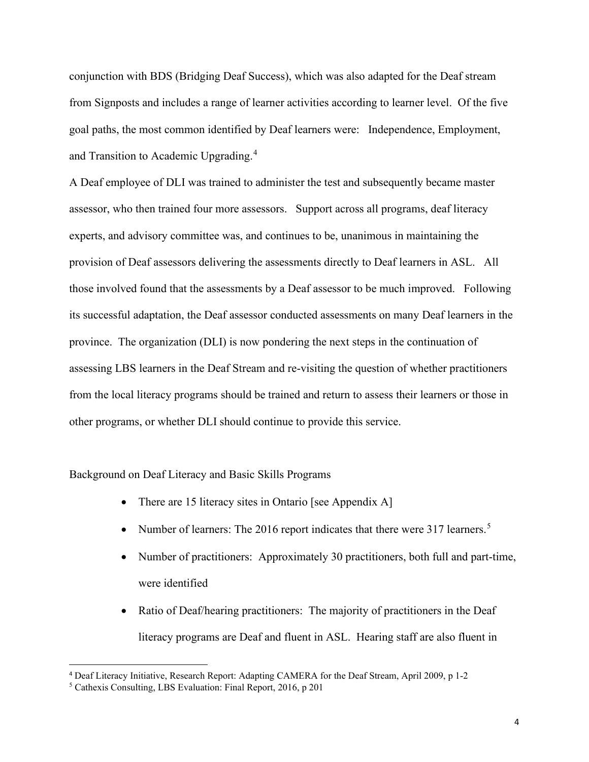conjunction with BDS (Bridging Deaf Success), which was also adapted for the Deaf stream from Signposts and includes a range of learner activities according to learner level. Of the five goal paths, the most common identified by Deaf learners were: Independence, Employment, and Transition to Academic Upgrading.<sup>[4](#page-4-0)</sup>

A Deaf employee of DLI was trained to administer the test and subsequently became master assessor, who then trained four more assessors. Support across all programs, deaf literacy experts, and advisory committee was, and continues to be, unanimous in maintaining the provision of Deaf assessors delivering the assessments directly to Deaf learners in ASL. All those involved found that the assessments by a Deaf assessor to be much improved. Following its successful adaptation, the Deaf assessor conducted assessments on many Deaf learners in the province. The organization (DLI) is now pondering the next steps in the continuation of assessing LBS learners in the Deaf Stream and re-visiting the question of whether practitioners from the local literacy programs should be trained and return to assess their learners or those in other programs, or whether DLI should continue to provide this service.

Background on Deaf Literacy and Basic Skills Programs

- There are 15 literacy sites in Ontario [see Appendix A]
- Number of learners: The 2016 report indicates that there were 317 learners.<sup>[5](#page-4-1)</sup>
- Number of practitioners: Approximately 30 practitioners, both full and part-time, were identified
- Ratio of Deaf/hearing practitioners: The majority of practitioners in the Deaf literacy programs are Deaf and fluent in ASL. Hearing staff are also fluent in

<span id="page-4-0"></span><sup>4</sup> Deaf Literacy Initiative, Research Report: Adapting CAMERA for the Deaf Stream, April 2009, p 1-2

<span id="page-4-1"></span><sup>5</sup> Cathexis Consulting, LBS Evaluation: Final Report, 2016, p 201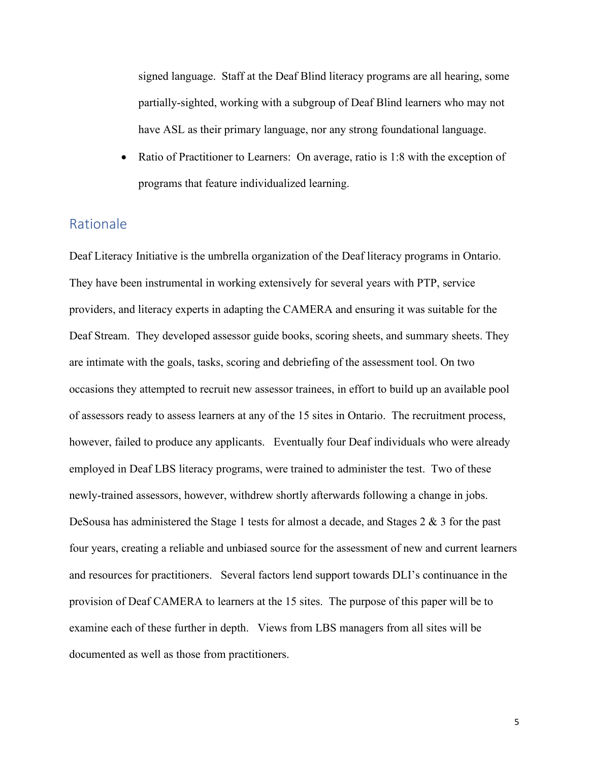signed language. Staff at the Deaf Blind literacy programs are all hearing, some partially-sighted, working with a subgroup of Deaf Blind learners who may not have ASL as their primary language, nor any strong foundational language.

• Ratio of Practitioner to Learners: On average, ratio is 1:8 with the exception of programs that feature individualized learning.

#### <span id="page-5-0"></span>Rationale

Deaf Literacy Initiative is the umbrella organization of the Deaf literacy programs in Ontario. They have been instrumental in working extensively for several years with PTP, service providers, and literacy experts in adapting the CAMERA and ensuring it was suitable for the Deaf Stream. They developed assessor guide books, scoring sheets, and summary sheets. They are intimate with the goals, tasks, scoring and debriefing of the assessment tool. On two occasions they attempted to recruit new assessor trainees, in effort to build up an available pool of assessors ready to assess learners at any of the 15 sites in Ontario. The recruitment process, however, failed to produce any applicants. Eventually four Deaf individuals who were already employed in Deaf LBS literacy programs, were trained to administer the test. Two of these newly-trained assessors, however, withdrew shortly afterwards following a change in jobs. DeSousa has administered the Stage 1 tests for almost a decade, and Stages 2 & 3 for the past four years, creating a reliable and unbiased source for the assessment of new and current learners and resources for practitioners. Several factors lend support towards DLI's continuance in the provision of Deaf CAMERA to learners at the 15 sites. The purpose of this paper will be to examine each of these further in depth. Views from LBS managers from all sites will be documented as well as those from practitioners.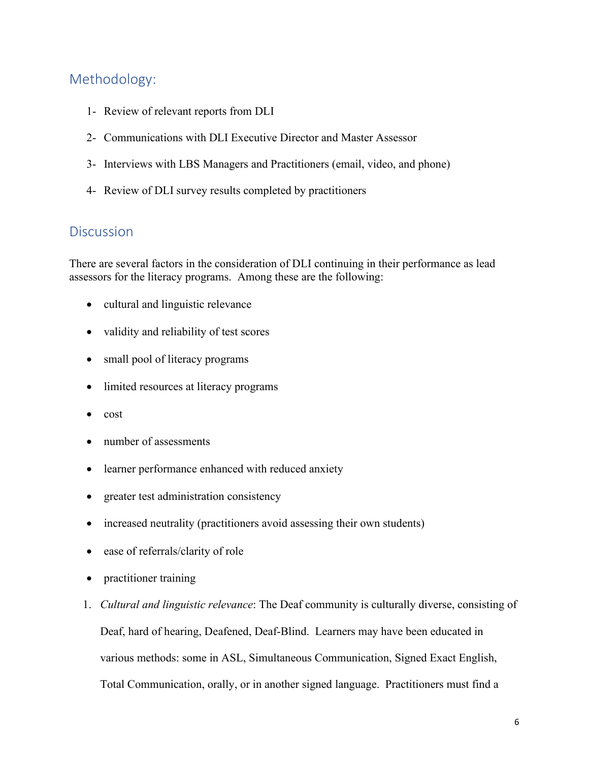# <span id="page-6-0"></span>Methodology:

- 1- Review of relevant reports from DLI
- 2- Communications with DLI Executive Director and Master Assessor
- 3- Interviews with LBS Managers and Practitioners (email, video, and phone)
- 4- Review of DLI survey results completed by practitioners

# <span id="page-6-1"></span>**Discussion**

There are several factors in the consideration of DLI continuing in their performance as lead assessors for the literacy programs. Among these are the following:

- cultural and linguistic relevance
- validity and reliability of test scores
- small pool of literacy programs
- limited resources at literacy programs
- cost
- number of assessments
- learner performance enhanced with reduced anxiety
- greater test administration consistency
- increased neutrality (practitioners avoid assessing their own students)
- ease of referrals/clarity of role
- practitioner training
- 1. *Cultural and linguistic relevance*: The Deaf community is culturally diverse, consisting of Deaf, hard of hearing, Deafened, Deaf-Blind. Learners may have been educated in various methods: some in ASL, Simultaneous Communication, Signed Exact English, Total Communication, orally, or in another signed language. Practitioners must find a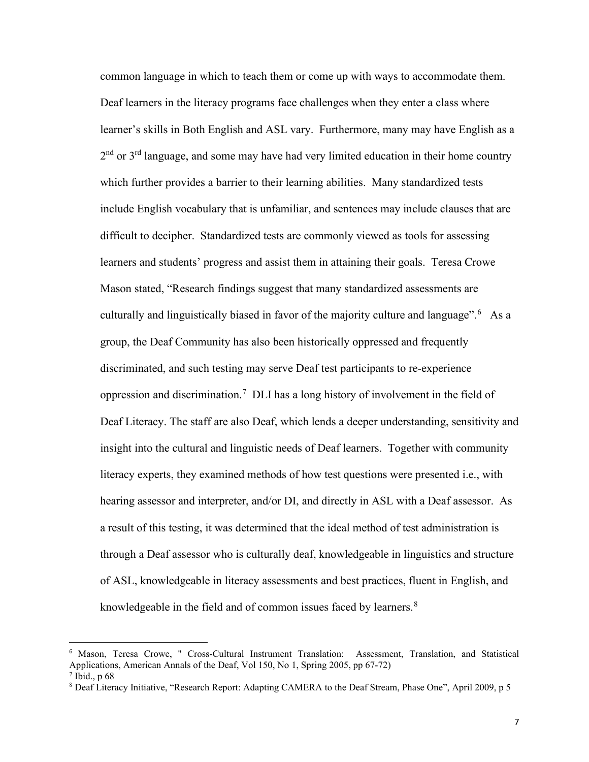common language in which to teach them or come up with ways to accommodate them. Deaf learners in the literacy programs face challenges when they enter a class where learner's skills in Both English and ASL vary. Furthermore, many may have English as a  $2<sup>nd</sup>$  or  $3<sup>rd</sup>$  language, and some may have had very limited education in their home country which further provides a barrier to their learning abilities. Many standardized tests include English vocabulary that is unfamiliar, and sentences may include clauses that are difficult to decipher. Standardized tests are commonly viewed as tools for assessing learners and students' progress and assist them in attaining their goals. Teresa Crowe Mason stated, "Research findings suggest that many standardized assessments are culturally and linguistically biased in favor of the majority culture and language".<sup>[6](#page-7-0)</sup> As a group, the Deaf Community has also been historically oppressed and frequently discriminated, and such testing may serve Deaf test participants to re-experience oppression and discrimination. [7](#page-7-1) DLI has a long history of involvement in the field of Deaf Literacy. The staff are also Deaf, which lends a deeper understanding, sensitivity and insight into the cultural and linguistic needs of Deaf learners. Together with community literacy experts, they examined methods of how test questions were presented i.e., with hearing assessor and interpreter, and/or DI, and directly in ASL with a Deaf assessor. As a result of this testing, it was determined that the ideal method of test administration is through a Deaf assessor who is culturally deaf, knowledgeable in linguistics and structure of ASL, knowledgeable in literacy assessments and best practices, fluent in English, and knowledgeable in the field and of common issues faced by learners.<sup>[8](#page-7-2)</sup>

<span id="page-7-0"></span><sup>6</sup> Mason, Teresa Crowe, " Cross-Cultural Instrument Translation: Assessment, Translation, and Statistical Applications, American Annals of the Deaf, Vol 150, No 1, Spring 2005, pp 67-72)

<span id="page-7-1"></span> $<sup>7</sup>$  Ibid., p 68</sup>

<span id="page-7-2"></span><sup>8</sup> Deaf Literacy Initiative, "Research Report: Adapting CAMERA to the Deaf Stream, Phase One", April 2009, p 5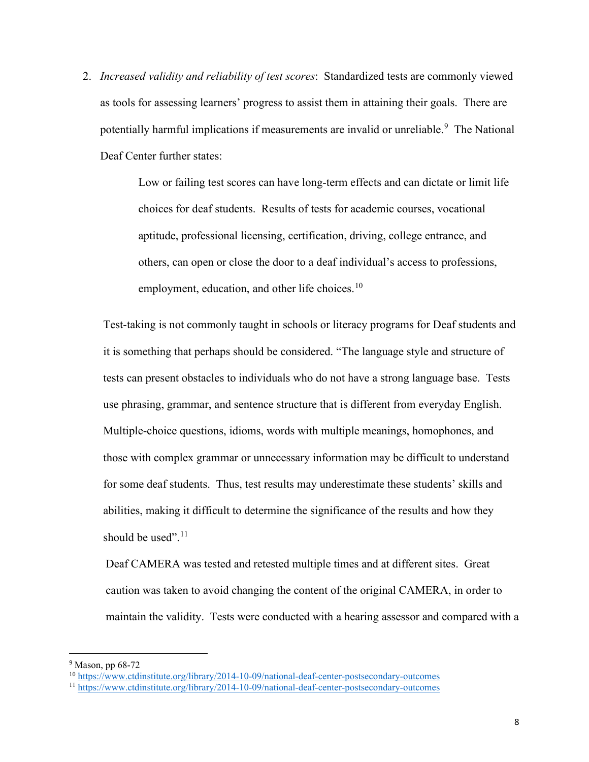2. *Increased validity and reliability of test scores*: Standardized tests are commonly viewed as tools for assessing learners' progress to assist them in attaining their goals. There are potentially harmful implications if measurements are invalid or unreliable.<sup>[9](#page-8-0)</sup> The National Deaf Center further states:

> Low or failing test scores can have long-term effects and can dictate or limit life choices for deaf students. Results of tests for academic courses, vocational aptitude, professional licensing, certification, driving, college entrance, and others, can open or close the door to a deaf individual's access to professions, employment, education, and other life choices. $10$

Test-taking is not commonly taught in schools or literacy programs for Deaf students and it is something that perhaps should be considered. "The language style and structure of tests can present obstacles to individuals who do not have a strong language base. Tests use phrasing, grammar, and sentence structure that is different from everyday English. Multiple-choice questions, idioms, words with multiple meanings, homophones, and those with complex grammar or unnecessary information may be difficult to understand for some deaf students. Thus, test results may underestimate these students' skills and abilities, making it difficult to determine the significance of the results and how they should be used".<sup>[11](#page-8-2)</sup>

Deaf CAMERA was tested and retested multiple times and at different sites. Great caution was taken to avoid changing the content of the original CAMERA, in order to maintain the validity. Tests were conducted with a hearing assessor and compared with a

<span id="page-8-0"></span><sup>9</sup> Mason, pp 68-72

<span id="page-8-1"></span><sup>&</sup>lt;sup>10</sup> <https://www.ctdinstitute.org/library/2014-10-09/national-deaf-center-postsecondary-outcomes>

<span id="page-8-2"></span><sup>&</sup>lt;sup>11</sup> <https://www.ctdinstitute.org/library/2014-10-09/national-deaf-center-postsecondary-outcomes>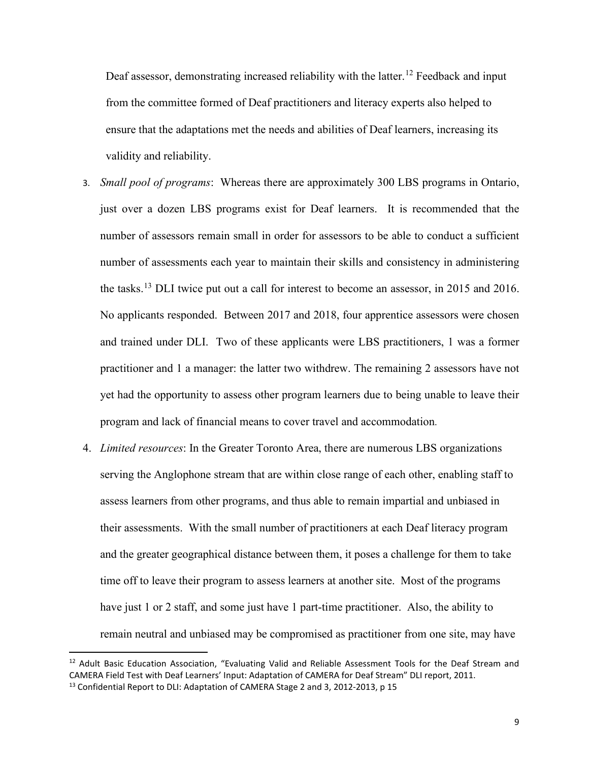Deaf assessor, demonstrating increased reliability with the latter.<sup>[12](#page-9-0)</sup> Feedback and input from the committee formed of Deaf practitioners and literacy experts also helped to ensure that the adaptations met the needs and abilities of Deaf learners, increasing its validity and reliability.

- 3. *Small pool of programs*: Whereas there are approximately 300 LBS programs in Ontario, just over a dozen LBS programs exist for Deaf learners. It is recommended that the number of assessors remain small in order for assessors to be able to conduct a sufficient number of assessments each year to maintain their skills and consistency in administering the tasks.<sup>[13](#page-9-1)</sup> DLI twice put out a call for interest to become an assessor, in 2015 and 2016. No applicants responded. Between 2017 and 2018, four apprentice assessors were chosen and trained under DLI. Two of these applicants were LBS practitioners, 1 was a former practitioner and 1 a manager: the latter two withdrew. The remaining 2 assessors have not yet had the opportunity to assess other program learners due to being unable to leave their program and lack of financial means to cover travel and accommodation.
- 4. *Limited resources*: In the Greater Toronto Area, there are numerous LBS organizations serving the Anglophone stream that are within close range of each other, enabling staff to assess learners from other programs, and thus able to remain impartial and unbiased in their assessments. With the small number of practitioners at each Deaf literacy program and the greater geographical distance between them, it poses a challenge for them to take time off to leave their program to assess learners at another site. Most of the programs have just 1 or 2 staff, and some just have 1 part-time practitioner. Also, the ability to remain neutral and unbiased may be compromised as practitioner from one site, may have

<span id="page-9-1"></span><span id="page-9-0"></span><sup>&</sup>lt;sup>12</sup> Adult Basic Education Association, "Evaluating Valid and Reliable Assessment Tools for the Deaf Stream and CAMERA Field Test with Deaf Learners' Input: Adaptation of CAMERA for Deaf Stream" DLI report, 2011. <sup>13</sup> Confidential Report to DLI: Adaptation of CAMERA Stage 2 and 3, 2012-2013, p 15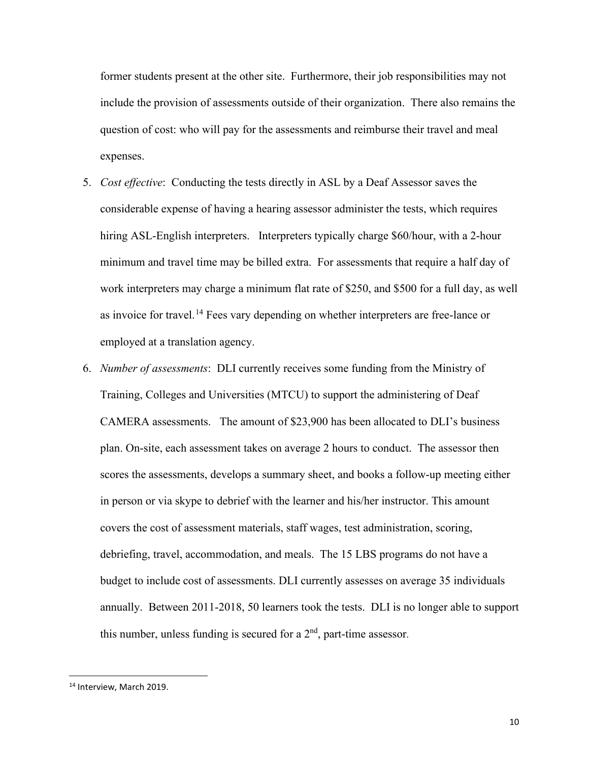former students present at the other site. Furthermore, their job responsibilities may not include the provision of assessments outside of their organization. There also remains the question of cost: who will pay for the assessments and reimburse their travel and meal expenses.

- 5. *Cost effective*: Conducting the tests directly in ASL by a Deaf Assessor saves the considerable expense of having a hearing assessor administer the tests, which requires hiring ASL-English interpreters. Interpreters typically charge \$60/hour, with a 2-hour minimum and travel time may be billed extra. For assessments that require a half day of work interpreters may charge a minimum flat rate of \$250, and \$500 for a full day, as well as invoice for travel.<sup>[14](#page-10-0)</sup> Fees vary depending on whether interpreters are free-lance or employed at a translation agency.
- 6. *Number of assessments*: DLI currently receives some funding from the Ministry of Training, Colleges and Universities (MTCU) to support the administering of Deaf CAMERA assessments. The amount of \$23,900 has been allocated to DLI's business plan. On-site, each assessment takes on average 2 hours to conduct. The assessor then scores the assessments, develops a summary sheet, and books a follow-up meeting either in person or via skype to debrief with the learner and his/her instructor. This amount covers the cost of assessment materials, staff wages, test administration, scoring, debriefing, travel, accommodation, and meals. The 15 LBS programs do not have a budget to include cost of assessments. DLI currently assesses on average 35 individuals annually. Between 2011-2018, 50 learners took the tests. DLI is no longer able to support this number, unless funding is secured for a  $2<sup>nd</sup>$ , part-time assessor.

<span id="page-10-0"></span><sup>&</sup>lt;sup>14</sup> Interview, March 2019.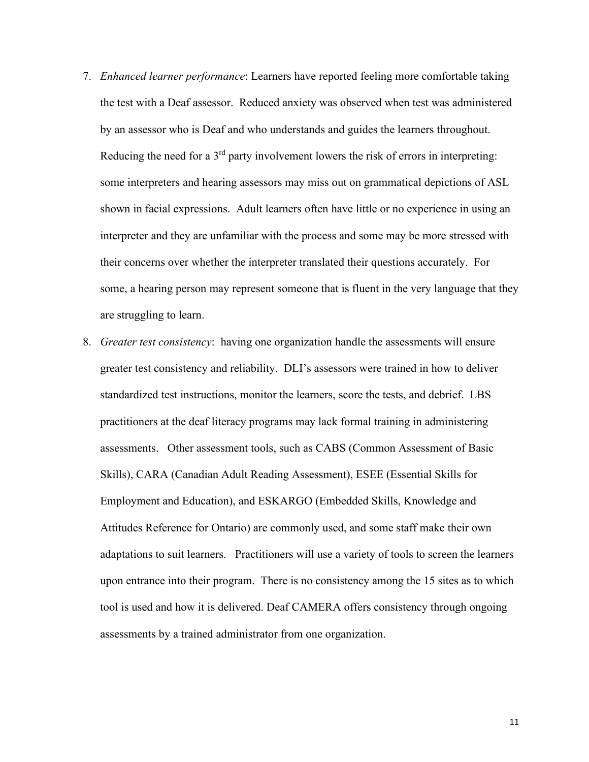- 7. *Enhanced learner performance*: Learners have reported feeling more comfortable taking the test with a Deaf assessor. Reduced anxiety was observed when test was administered by an assessor who is Deaf and who understands and guides the learners throughout. Reducing the need for a  $3<sup>rd</sup>$  party involvement lowers the risk of errors in interpreting: some interpreters and hearing assessors may miss out on grammatical depictions of ASL shown in facial expressions. Adult learners often have little or no experience in using an interpreter and they are unfamiliar with the process and some may be more stressed with their concerns over whether the interpreter translated their questions accurately. For some, a hearing person may represent someone that is fluent in the very language that they are struggling to learn.
- 8. *Greater test consistency*: having one organization handle the assessments will ensure greater test consistency and reliability. DLI's assessors were trained in how to deliver standardized test instructions, monitor the learners, score the tests, and debrief. LBS practitioners at the deaf literacy programs may lack formal training in administering assessments. Other assessment tools, such as CABS (Common Assessment of Basic Skills), CARA (Canadian Adult Reading Assessment), ESEE (Essential Skills for Employment and Education), and ESKARGO (Embedded Skills, Knowledge and Attitudes Reference for Ontario) are commonly used, and some staff make their own adaptations to suit learners. Practitioners will use a variety of tools to screen the learners upon entrance into their program. There is no consistency among the 15 sites as to which tool is used and how it is delivered. Deaf CAMERA offers consistency through ongoing assessments by a trained administrator from one organization.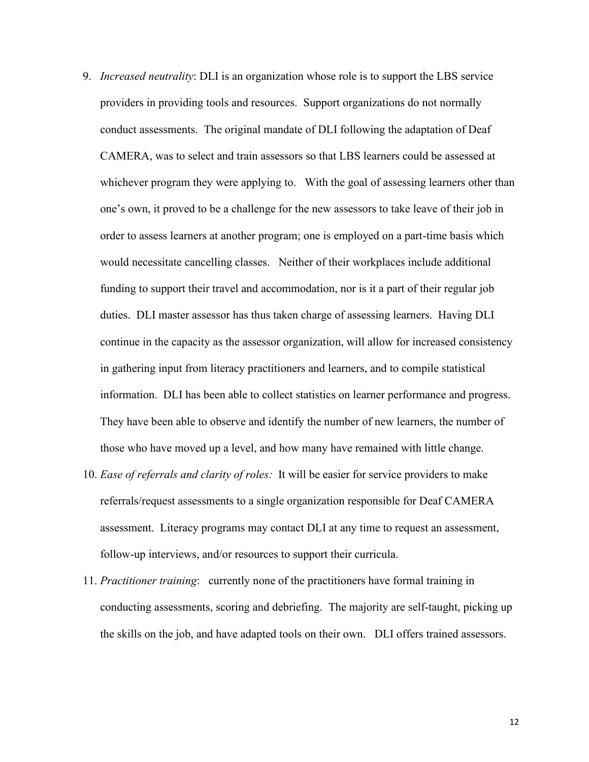- 9. *Increased neutrality*: DLI is an organization whose role is to support the LBS service providers in providing tools and resources. Support organizations do not normally conduct assessments. The original mandate of DLI following the adaptation of Deaf CAMERA, was to select and train assessors so that LBS learners could be assessed at whichever program they were applying to. With the goal of assessing learners other than one's own, it proved to be a challenge for the new assessors to take leave of their job in order to assess learners at another program; one is employed on a part-time basis which would necessitate cancelling classes. Neither of their workplaces include additional funding to support their travel and accommodation, nor is it a part of their regular job duties. DLI master assessor has thus taken charge of assessing learners. Having DLI continue in the capacity as the assessor organization, will allow for increased consistency in gathering input from literacy practitioners and learners, and to compile statistical information. DLI has been able to collect statistics on learner performance and progress. They have been able to observe and identify the number of new learners, the number of those who have moved up a level, and how many have remained with little change.
- 10. *Ease of referrals and clarity of roles:* It will be easier for service providers to make referrals/request assessments to a single organization responsible for Deaf CAMERA assessment. Literacy programs may contact DLI at any time to request an assessment, follow-up interviews, and/or resources to support their curricula.
- 11. *Practitioner training*: currently none of the practitioners have formal training in conducting assessments, scoring and debriefing. The majority are self-taught, picking up the skills on the job, and have adapted tools on their own. DLI offers trained assessors.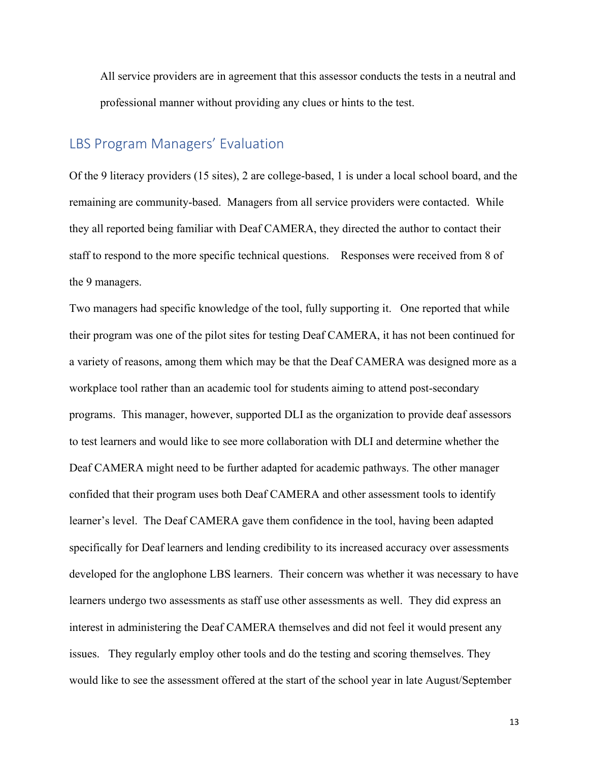All service providers are in agreement that this assessor conducts the tests in a neutral and professional manner without providing any clues or hints to the test.

# <span id="page-13-0"></span>LBS Program Managers' Evaluation

Of the 9 literacy providers (15 sites), 2 are college-based, 1 is under a local school board, and the remaining are community-based. Managers from all service providers were contacted. While they all reported being familiar with Deaf CAMERA, they directed the author to contact their staff to respond to the more specific technical questions. Responses were received from 8 of the 9 managers.

Two managers had specific knowledge of the tool, fully supporting it. One reported that while their program was one of the pilot sites for testing Deaf CAMERA, it has not been continued for a variety of reasons, among them which may be that the Deaf CAMERA was designed more as a workplace tool rather than an academic tool for students aiming to attend post-secondary programs. This manager, however, supported DLI as the organization to provide deaf assessors to test learners and would like to see more collaboration with DLI and determine whether the Deaf CAMERA might need to be further adapted for academic pathways. The other manager confided that their program uses both Deaf CAMERA and other assessment tools to identify learner's level. The Deaf CAMERA gave them confidence in the tool, having been adapted specifically for Deaf learners and lending credibility to its increased accuracy over assessments developed for the anglophone LBS learners. Their concern was whether it was necessary to have learners undergo two assessments as staff use other assessments as well. They did express an interest in administering the Deaf CAMERA themselves and did not feel it would present any issues. They regularly employ other tools and do the testing and scoring themselves. They would like to see the assessment offered at the start of the school year in late August/September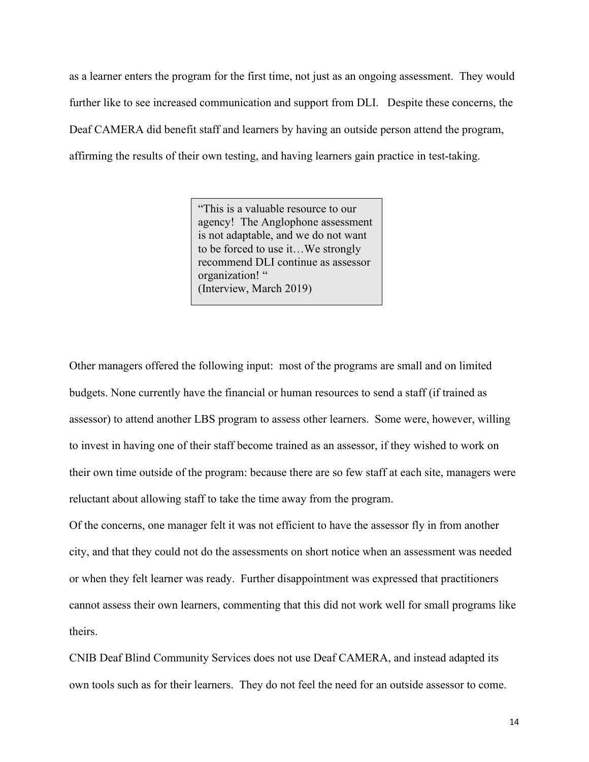as a learner enters the program for the first time, not just as an ongoing assessment. They would further like to see increased communication and support from DLI. Despite these concerns, the Deaf CAMERA did benefit staff and learners by having an outside person attend the program, affirming the results of their own testing, and having learners gain practice in test-taking.

> "This is a valuable resource to our agency! The Anglophone assessment is not adaptable, and we do not want to be forced to use it…We strongly recommend DLI continue as assessor organization! " (Interview, March 2019)

Other managers offered the following input: most of the programs are small and on limited budgets. None currently have the financial or human resources to send a staff (if trained as assessor) to attend another LBS program to assess other learners. Some were, however, willing to invest in having one of their staff become trained as an assessor, if they wished to work on their own time outside of the program: because there are so few staff at each site, managers were reluctant about allowing staff to take the time away from the program.

Of the concerns, one manager felt it was not efficient to have the assessor fly in from another city, and that they could not do the assessments on short notice when an assessment was needed or when they felt learner was ready. Further disappointment was expressed that practitioners cannot assess their own learners, commenting that this did not work well for small programs like theirs.

CNIB Deaf Blind Community Services does not use Deaf CAMERA, and instead adapted its own tools such as for their learners. They do not feel the need for an outside assessor to come.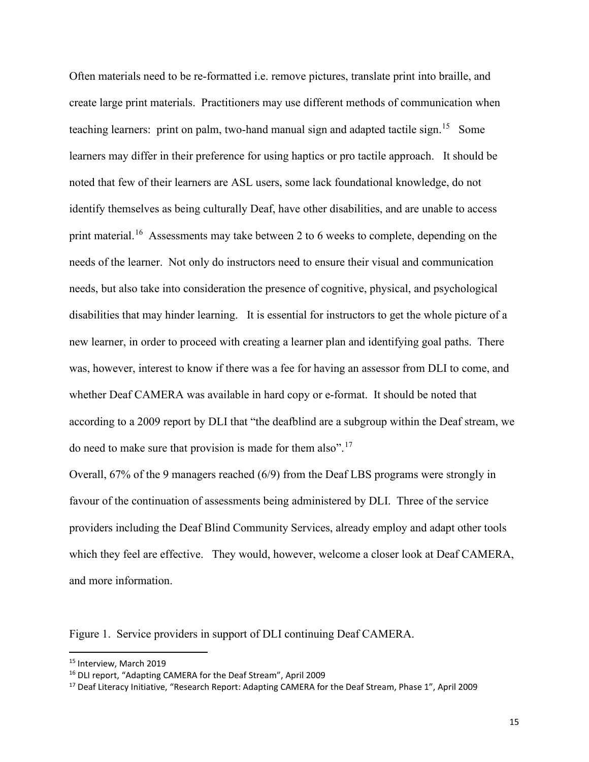Often materials need to be re-formatted i.e. remove pictures, translate print into braille, and create large print materials. Practitioners may use different methods of communication when teaching learners: print on palm, two-hand manual sign and adapted tactile sign.<sup>[15](#page-15-0)</sup> Some learners may differ in their preference for using haptics or pro tactile approach. It should be noted that few of their learners are ASL users, some lack foundational knowledge, do not identify themselves as being culturally Deaf, have other disabilities, and are unable to access print material.<sup>16</sup> Assessments may take between 2 to 6 weeks to complete, depending on the needs of the learner. Not only do instructors need to ensure their visual and communication needs, but also take into consideration the presence of cognitive, physical, and psychological disabilities that may hinder learning. It is essential for instructors to get the whole picture of a new learner, in order to proceed with creating a learner plan and identifying goal paths. There was, however, interest to know if there was a fee for having an assessor from DLI to come, and whether Deaf CAMERA was available in hard copy or e-format. It should be noted that according to a 2009 report by DLI that "the deafblind are a subgroup within the Deaf stream, we do need to make sure that provision is made for them also".<sup>[17](#page-15-2)</sup>

Overall, 67% of the 9 managers reached (6/9) from the Deaf LBS programs were strongly in favour of the continuation of assessments being administered by DLI. Three of the service providers including the Deaf Blind Community Services, already employ and adapt other tools which they feel are effective. They would, however, welcome a closer look at Deaf CAMERA, and more information.

Figure 1. Service providers in support of DLI continuing Deaf CAMERA.

<span id="page-15-0"></span><sup>&</sup>lt;sup>15</sup> Interview, March 2019

<span id="page-15-1"></span><sup>16</sup> DLI report, "Adapting CAMERA for the Deaf Stream", April 2009

<span id="page-15-2"></span><sup>&</sup>lt;sup>17</sup> Deaf Literacy Initiative, "Research Report: Adapting CAMERA for the Deaf Stream, Phase 1", April 2009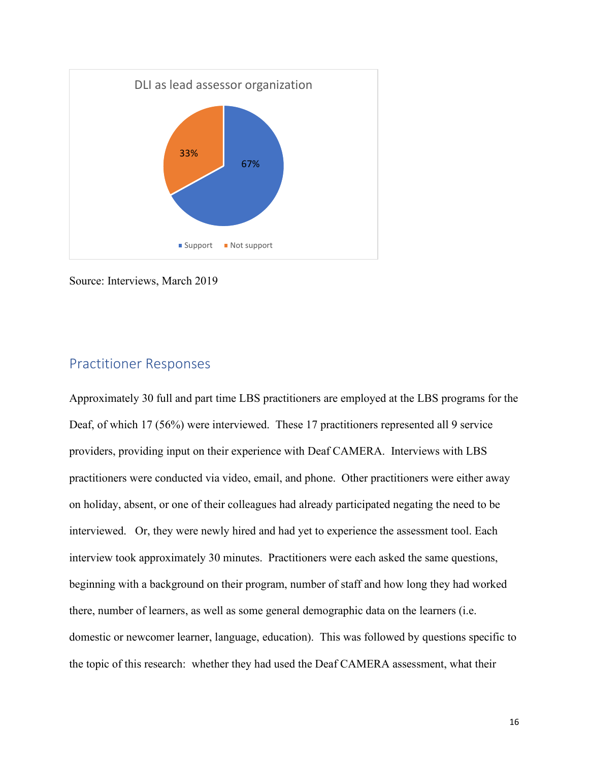

Source: Interviews, March 2019

# <span id="page-16-0"></span>Practitioner Responses

Approximately 30 full and part time LBS practitioners are employed at the LBS programs for the Deaf, of which 17 (56%) were interviewed. These 17 practitioners represented all 9 service providers, providing input on their experience with Deaf CAMERA. Interviews with LBS practitioners were conducted via video, email, and phone. Other practitioners were either away on holiday, absent, or one of their colleagues had already participated negating the need to be interviewed. Or, they were newly hired and had yet to experience the assessment tool. Each interview took approximately 30 minutes. Practitioners were each asked the same questions, beginning with a background on their program, number of staff and how long they had worked there, number of learners, as well as some general demographic data on the learners (i.e. domestic or newcomer learner, language, education). This was followed by questions specific to the topic of this research: whether they had used the Deaf CAMERA assessment, what their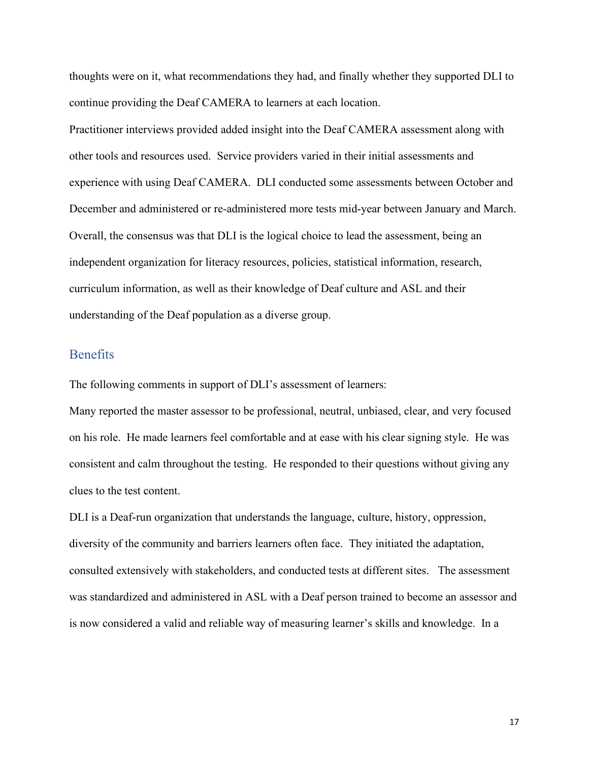thoughts were on it, what recommendations they had, and finally whether they supported DLI to continue providing the Deaf CAMERA to learners at each location.

Practitioner interviews provided added insight into the Deaf CAMERA assessment along with other tools and resources used. Service providers varied in their initial assessments and experience with using Deaf CAMERA. DLI conducted some assessments between October and December and administered or re-administered more tests mid-year between January and March. Overall, the consensus was that DLI is the logical choice to lead the assessment, being an independent organization for literacy resources, policies, statistical information, research, curriculum information, as well as their knowledge of Deaf culture and ASL and their understanding of the Deaf population as a diverse group.

#### <span id="page-17-0"></span>**Benefits**

The following comments in support of DLI's assessment of learners:

Many reported the master assessor to be professional, neutral, unbiased, clear, and very focused on his role. He made learners feel comfortable and at ease with his clear signing style. He was consistent and calm throughout the testing. He responded to their questions without giving any clues to the test content.

DLI is a Deaf-run organization that understands the language, culture, history, oppression, diversity of the community and barriers learners often face. They initiated the adaptation, consulted extensively with stakeholders, and conducted tests at different sites. The assessment was standardized and administered in ASL with a Deaf person trained to become an assessor and is now considered a valid and reliable way of measuring learner's skills and knowledge. In a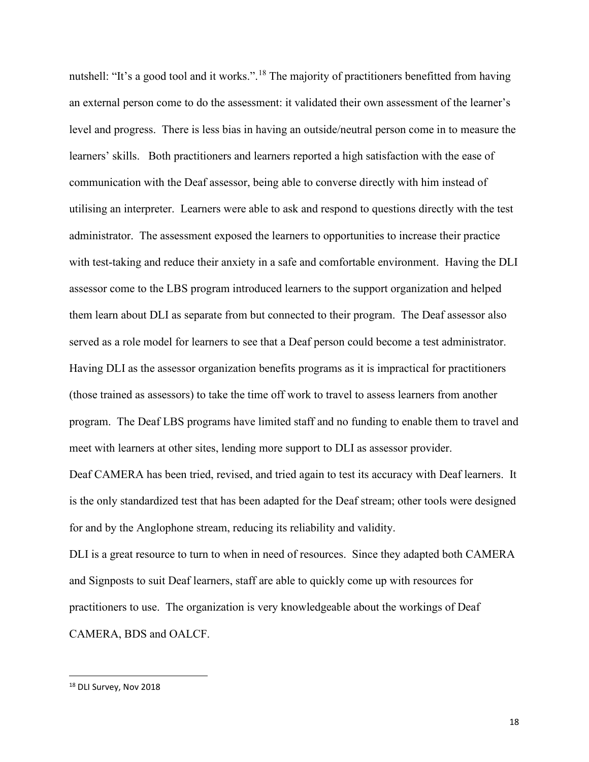nutshell: "It's a good tool and it works.".<sup>[18](#page-18-0)</sup> The majority of practitioners benefitted from having an external person come to do the assessment: it validated their own assessment of the learner's level and progress. There is less bias in having an outside/neutral person come in to measure the learners' skills. Both practitioners and learners reported a high satisfaction with the ease of communication with the Deaf assessor, being able to converse directly with him instead of utilising an interpreter. Learners were able to ask and respond to questions directly with the test administrator. The assessment exposed the learners to opportunities to increase their practice with test-taking and reduce their anxiety in a safe and comfortable environment. Having the DLI assessor come to the LBS program introduced learners to the support organization and helped them learn about DLI as separate from but connected to their program. The Deaf assessor also served as a role model for learners to see that a Deaf person could become a test administrator. Having DLI as the assessor organization benefits programs as it is impractical for practitioners (those trained as assessors) to take the time off work to travel to assess learners from another program. The Deaf LBS programs have limited staff and no funding to enable them to travel and meet with learners at other sites, lending more support to DLI as assessor provider.

Deaf CAMERA has been tried, revised, and tried again to test its accuracy with Deaf learners. It is the only standardized test that has been adapted for the Deaf stream; other tools were designed for and by the Anglophone stream, reducing its reliability and validity.

DLI is a great resource to turn to when in need of resources. Since they adapted both CAMERA and Signposts to suit Deaf learners, staff are able to quickly come up with resources for practitioners to use. The organization is very knowledgeable about the workings of Deaf CAMERA, BDS and OALCF.

<span id="page-18-0"></span><sup>&</sup>lt;sup>18</sup> DLI Survey, Nov 2018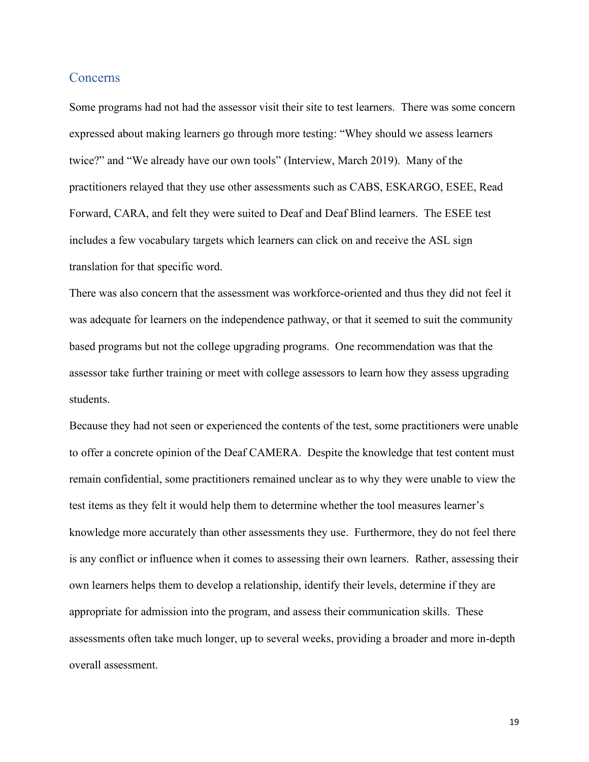#### <span id="page-19-0"></span>**Concerns**

Some programs had not had the assessor visit their site to test learners. There was some concern expressed about making learners go through more testing: "Whey should we assess learners twice?" and "We already have our own tools" (Interview, March 2019). Many of the practitioners relayed that they use other assessments such as CABS, ESKARGO, ESEE, Read Forward, CARA, and felt they were suited to Deaf and Deaf Blind learners. The ESEE test includes a few vocabulary targets which learners can click on and receive the ASL sign translation for that specific word.

There was also concern that the assessment was workforce-oriented and thus they did not feel it was adequate for learners on the independence pathway, or that it seemed to suit the community based programs but not the college upgrading programs. One recommendation was that the assessor take further training or meet with college assessors to learn how they assess upgrading students.

Because they had not seen or experienced the contents of the test, some practitioners were unable to offer a concrete opinion of the Deaf CAMERA. Despite the knowledge that test content must remain confidential, some practitioners remained unclear as to why they were unable to view the test items as they felt it would help them to determine whether the tool measures learner's knowledge more accurately than other assessments they use. Furthermore, they do not feel there is any conflict or influence when it comes to assessing their own learners. Rather, assessing their own learners helps them to develop a relationship, identify their levels, determine if they are appropriate for admission into the program, and assess their communication skills. These assessments often take much longer, up to several weeks, providing a broader and more in-depth overall assessment.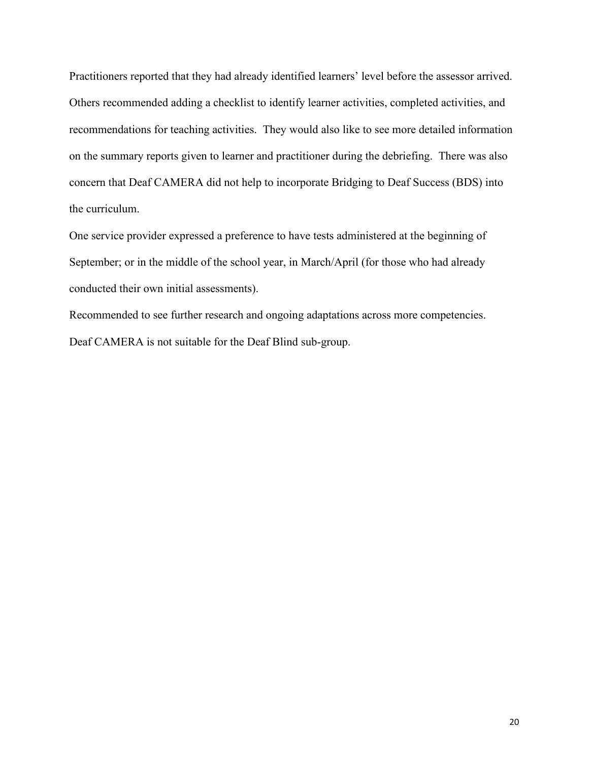Practitioners reported that they had already identified learners' level before the assessor arrived. Others recommended adding a checklist to identify learner activities, completed activities, and recommendations for teaching activities. They would also like to see more detailed information on the summary reports given to learner and practitioner during the debriefing. There was also concern that Deaf CAMERA did not help to incorporate Bridging to Deaf Success (BDS) into the curriculum.

One service provider expressed a preference to have tests administered at the beginning of September; or in the middle of the school year, in March/April (for those who had already conducted their own initial assessments).

Recommended to see further research and ongoing adaptations across more competencies. Deaf CAMERA is not suitable for the Deaf Blind sub-group.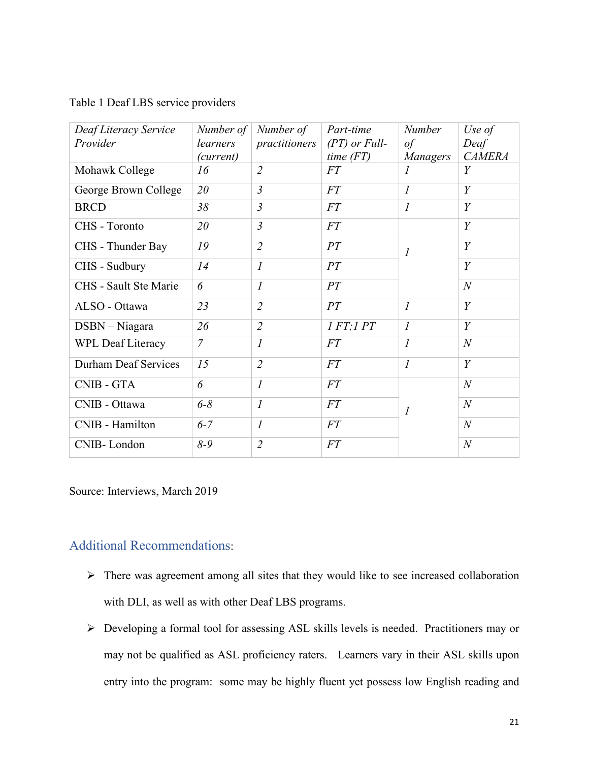|  | Table 1 Deaf LBS service providers |
|--|------------------------------------|
|--|------------------------------------|

| Deaf Literacy Service        | Number of      | Number of                   | Part-time       | <b>Number</b>               | Use of           |
|------------------------------|----------------|-----------------------------|-----------------|-----------------------------|------------------|
| Provider                     | learners       | practitioners               | $(PT)$ or Full- | of                          | Deaf             |
|                              | (current)      |                             | time(FT)        | Managers                    | <b>CAMERA</b>    |
| Mohawk College               | 16             | $\overline{2}$              | <b>FT</b>       | $\prime$                    | Y                |
| George Brown College         | 20             | $\mathfrak{Z}$              | FT              | $\mathcal{I}_{\mathcal{I}}$ | Y                |
| <b>BRCD</b>                  | 38             | $\overline{3}$              | <i>FT</i>       | $\boldsymbol{l}$            | Y                |
| CHS - Toronto                | 20             | $\mathfrak{Z}$              | <i>FT</i>       |                             | Y                |
| CHS - Thunder Bay            | 19             | $\overline{2}$              | PT              | $\mathcal{I}_{\mathcal{I}}$ | Y                |
| CHS - Sudbury                | 14             | $\overline{I}$              | PT              |                             | $\boldsymbol{Y}$ |
| <b>CHS</b> - Sault Ste Marie | 6              | $\overline{I}$              | PT              |                             | $\mathcal N$     |
| ALSO - Ottawa                | 23             | $\overline{2}$              | PT              | $\mathcal{I}_{\mathcal{I}}$ | Y                |
| DSBN - Niagara               | 26             | $\overline{2}$              | IFT; IPT        | $\boldsymbol{l}$            | Y                |
| <b>WPL Deaf Literacy</b>     | $\overline{7}$ | $\mathcal{I}$               | <i>FT</i>       | $\boldsymbol{l}$            | $\boldsymbol{N}$ |
| Durham Deaf Services         | 15             | $\overline{2}$              | FT              | $\mathcal{I}_{\mathcal{I}}$ | $\boldsymbol{Y}$ |
| <b>CNIB - GTA</b>            | 6              | $\mathcal{I}_{\mathcal{I}}$ | FT              |                             | $\mathcal N$     |
| CNIB - Ottawa                | $6 - 8$        | $\overline{I}$              | <i>FT</i>       | $\overline{I}$              | $\boldsymbol{N}$ |
| CNIB - Hamilton              | $6 - 7$        | $\mathcal{I}_{\mathcal{I}}$ | FT              |                             | $\mathcal N$     |
| CNIB-London                  | $8 - 9$        | $\overline{2}$              | FT              |                             | $\mathcal N$     |

Source: Interviews, March 2019

#### <span id="page-21-0"></span>Additional Recommendations:

- $\triangleright$  There was agreement among all sites that they would like to see increased collaboration with DLI, as well as with other Deaf LBS programs.
- Developing a formal tool for assessing ASL skills levels is needed. Practitioners may or may not be qualified as ASL proficiency raters. Learners vary in their ASL skills upon entry into the program: some may be highly fluent yet possess low English reading and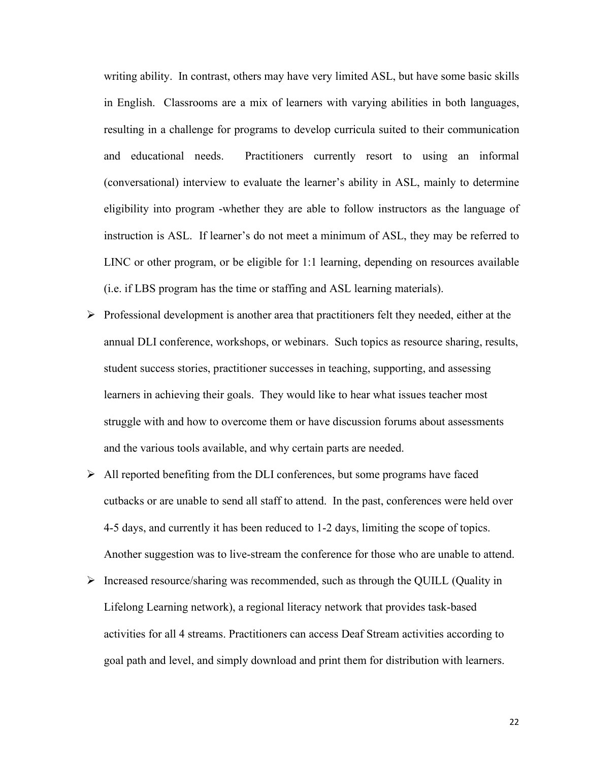writing ability. In contrast, others may have very limited ASL, but have some basic skills in English. Classrooms are a mix of learners with varying abilities in both languages, resulting in a challenge for programs to develop curricula suited to their communication and educational needs. Practitioners currently resort to using an informal (conversational) interview to evaluate the learner's ability in ASL, mainly to determine eligibility into program -whether they are able to follow instructors as the language of instruction is ASL. If learner's do not meet a minimum of ASL, they may be referred to LINC or other program, or be eligible for 1:1 learning, depending on resources available (i.e. if LBS program has the time or staffing and ASL learning materials).

- $\triangleright$  Professional development is another area that practitioners felt they needed, either at the annual DLI conference, workshops, or webinars. Such topics as resource sharing, results, student success stories, practitioner successes in teaching, supporting, and assessing learners in achieving their goals. They would like to hear what issues teacher most struggle with and how to overcome them or have discussion forums about assessments and the various tools available, and why certain parts are needed.
- $\triangleright$  All reported benefiting from the DLI conferences, but some programs have faced cutbacks or are unable to send all staff to attend. In the past, conferences were held over 4-5 days, and currently it has been reduced to 1-2 days, limiting the scope of topics. Another suggestion was to live-stream the conference for those who are unable to attend.
- Increased resource/sharing was recommended, such as through the QUILL (Quality in Lifelong Learning network), a regional literacy network that provides task-based activities for all 4 streams. Practitioners can access Deaf Stream activities according to goal path and level, and simply download and print them for distribution with learners.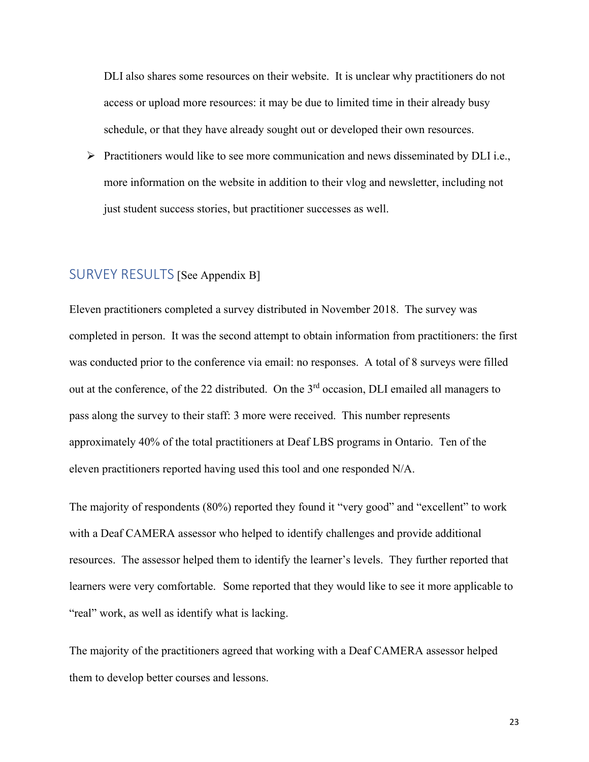DLI also shares some resources on their website. It is unclear why practitioners do not access or upload more resources: it may be due to limited time in their already busy schedule, or that they have already sought out or developed their own resources.

 $\triangleright$  Practitioners would like to see more communication and news disseminated by DLI i.e., more information on the website in addition to their vlog and newsletter, including not just student success stories, but practitioner successes as well.

# <span id="page-23-0"></span>SURVEY RESULTS [See Appendix B]

Eleven practitioners completed a survey distributed in November 2018. The survey was completed in person. It was the second attempt to obtain information from practitioners: the first was conducted prior to the conference via email: no responses. A total of 8 surveys were filled out at the conference, of the 22 distributed. On the  $3<sup>rd</sup>$  occasion, DLI emailed all managers to pass along the survey to their staff: 3 more were received. This number represents approximately 40% of the total practitioners at Deaf LBS programs in Ontario. Ten of the eleven practitioners reported having used this tool and one responded N/A.

The majority of respondents (80%) reported they found it "very good" and "excellent" to work with a Deaf CAMERA assessor who helped to identify challenges and provide additional resources. The assessor helped them to identify the learner's levels. They further reported that learners were very comfortable. Some reported that they would like to see it more applicable to "real" work, as well as identify what is lacking.

The majority of the practitioners agreed that working with a Deaf CAMERA assessor helped them to develop better courses and lessons.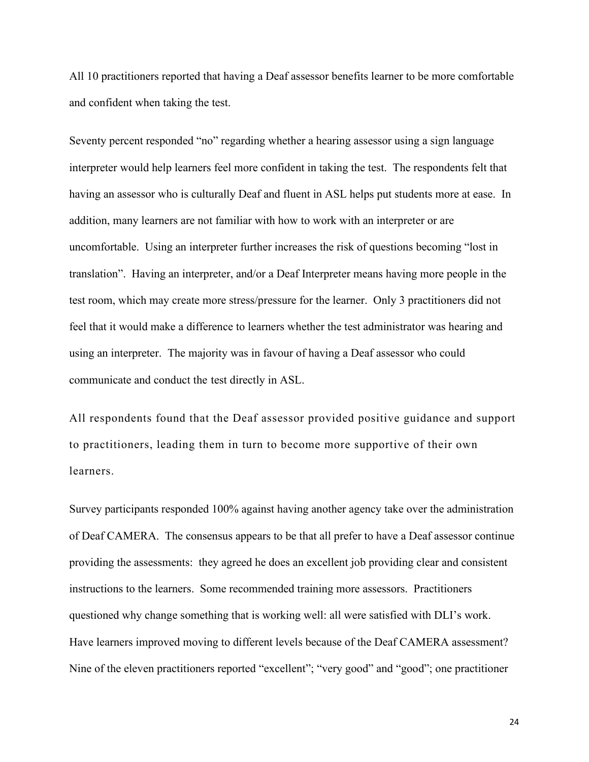All 10 practitioners reported that having a Deaf assessor benefits learner to be more comfortable and confident when taking the test.

Seventy percent responded "no" regarding whether a hearing assessor using a sign language interpreter would help learners feel more confident in taking the test. The respondents felt that having an assessor who is culturally Deaf and fluent in ASL helps put students more at ease. In addition, many learners are not familiar with how to work with an interpreter or are uncomfortable. Using an interpreter further increases the risk of questions becoming "lost in translation". Having an interpreter, and/or a Deaf Interpreter means having more people in the test room, which may create more stress/pressure for the learner. Only 3 practitioners did not feel that it would make a difference to learners whether the test administrator was hearing and using an interpreter. The majority was in favour of having a Deaf assessor who could communicate and conduct the test directly in ASL.

All respondents found that the Deaf assessor provided positive guidance and support to practitioners, leading them in turn to become more supportive of their own learners.

Survey participants responded 100% against having another agency take over the administration of Deaf CAMERA. The consensus appears to be that all prefer to have a Deaf assessor continue providing the assessments: they agreed he does an excellent job providing clear and consistent instructions to the learners. Some recommended training more assessors. Practitioners questioned why change something that is working well: all were satisfied with DLI's work. Have learners improved moving to different levels because of the Deaf CAMERA assessment? Nine of the eleven practitioners reported "excellent"; "very good" and "good"; one practitioner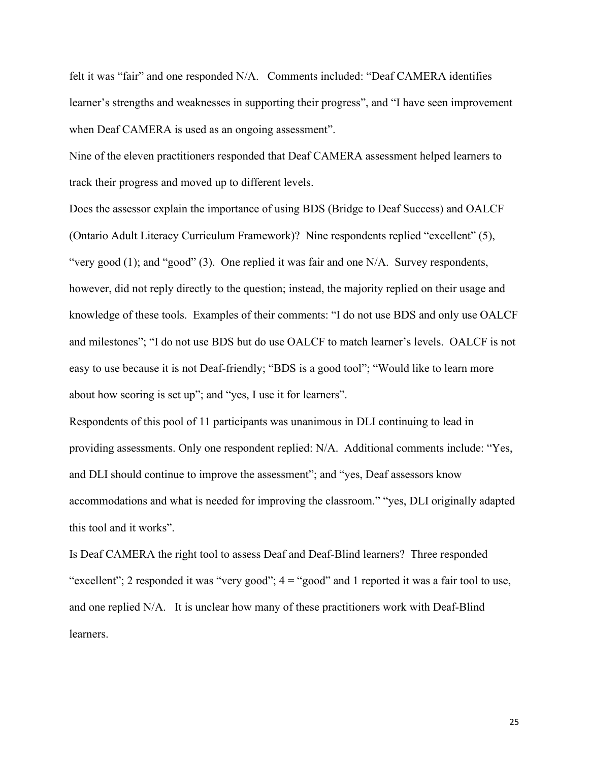felt it was "fair" and one responded N/A. Comments included: "Deaf CAMERA identifies learner's strengths and weaknesses in supporting their progress", and "I have seen improvement when Deaf CAMERA is used as an ongoing assessment".

Nine of the eleven practitioners responded that Deaf CAMERA assessment helped learners to track their progress and moved up to different levels.

Does the assessor explain the importance of using BDS (Bridge to Deaf Success) and OALCF (Ontario Adult Literacy Curriculum Framework)? Nine respondents replied "excellent" (5), "very good (1); and "good" (3). One replied it was fair and one N/A. Survey respondents, however, did not reply directly to the question; instead, the majority replied on their usage and knowledge of these tools. Examples of their comments: "I do not use BDS and only use OALCF and milestones"; "I do not use BDS but do use OALCF to match learner's levels. OALCF is not easy to use because it is not Deaf-friendly; "BDS is a good tool"; "Would like to learn more about how scoring is set up"; and "yes, I use it for learners".

Respondents of this pool of 11 participants was unanimous in DLI continuing to lead in providing assessments. Only one respondent replied: N/A. Additional comments include: "Yes, and DLI should continue to improve the assessment"; and "yes, Deaf assessors know accommodations and what is needed for improving the classroom." "yes, DLI originally adapted this tool and it works".

Is Deaf CAMERA the right tool to assess Deaf and Deaf-Blind learners? Three responded "excellent"; 2 responded it was "very good";  $4 =$  "good" and 1 reported it was a fair tool to use, and one replied N/A. It is unclear how many of these practitioners work with Deaf-Blind learners.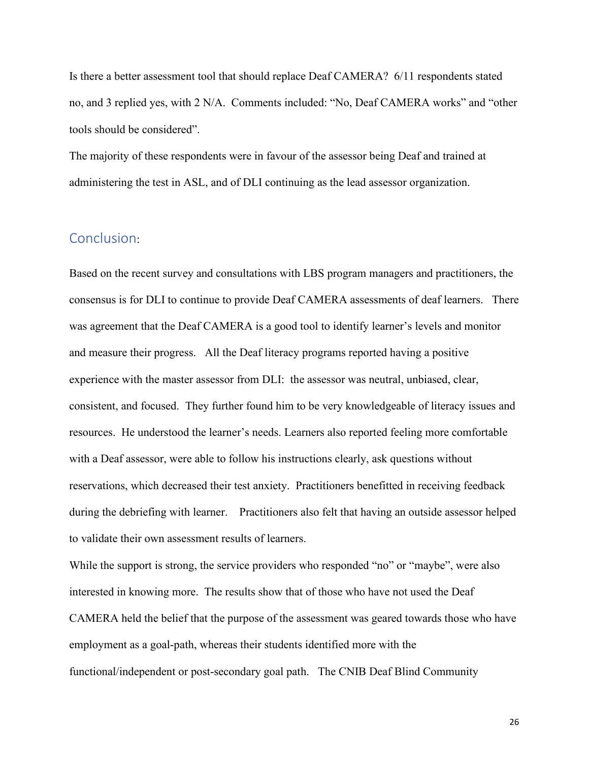Is there a better assessment tool that should replace Deaf CAMERA? 6/11 respondents stated no, and 3 replied yes, with 2 N/A. Comments included: "No, Deaf CAMERA works" and "other tools should be considered".

The majority of these respondents were in favour of the assessor being Deaf and trained at administering the test in ASL, and of DLI continuing as the lead assessor organization.

### <span id="page-26-0"></span>Conclusion:

Based on the recent survey and consultations with LBS program managers and practitioners, the consensus is for DLI to continue to provide Deaf CAMERA assessments of deaf learners. There was agreement that the Deaf CAMERA is a good tool to identify learner's levels and monitor and measure their progress. All the Deaf literacy programs reported having a positive experience with the master assessor from DLI: the assessor was neutral, unbiased, clear, consistent, and focused. They further found him to be very knowledgeable of literacy issues and resources. He understood the learner's needs. Learners also reported feeling more comfortable with a Deaf assessor, were able to follow his instructions clearly, ask questions without reservations, which decreased their test anxiety. Practitioners benefitted in receiving feedback during the debriefing with learner. Practitioners also felt that having an outside assessor helped to validate their own assessment results of learners.

While the support is strong, the service providers who responded "no" or "maybe", were also interested in knowing more. The results show that of those who have not used the Deaf CAMERA held the belief that the purpose of the assessment was geared towards those who have employment as a goal-path, whereas their students identified more with the functional/independent or post-secondary goal path. The CNIB Deaf Blind Community

26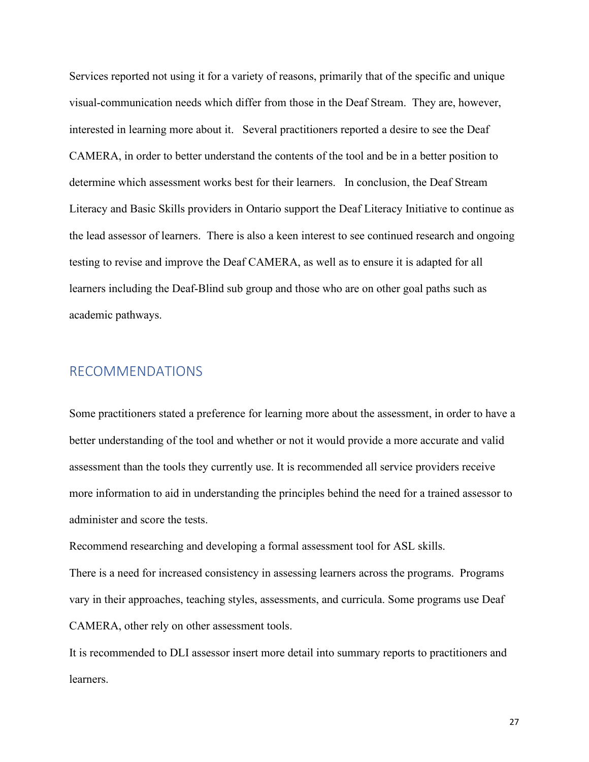Services reported not using it for a variety of reasons, primarily that of the specific and unique visual-communication needs which differ from those in the Deaf Stream. They are, however, interested in learning more about it. Several practitioners reported a desire to see the Deaf CAMERA, in order to better understand the contents of the tool and be in a better position to determine which assessment works best for their learners. In conclusion, the Deaf Stream Literacy and Basic Skills providers in Ontario support the Deaf Literacy Initiative to continue as the lead assessor of learners. There is also a keen interest to see continued research and ongoing testing to revise and improve the Deaf CAMERA, as well as to ensure it is adapted for all learners including the Deaf-Blind sub group and those who are on other goal paths such as academic pathways.

## <span id="page-27-0"></span>RECOMMENDATIONS

Some practitioners stated a preference for learning more about the assessment, in order to have a better understanding of the tool and whether or not it would provide a more accurate and valid assessment than the tools they currently use. It is recommended all service providers receive more information to aid in understanding the principles behind the need for a trained assessor to administer and score the tests.

Recommend researching and developing a formal assessment tool for ASL skills.

There is a need for increased consistency in assessing learners across the programs. Programs vary in their approaches, teaching styles, assessments, and curricula. Some programs use Deaf CAMERA, other rely on other assessment tools.

It is recommended to DLI assessor insert more detail into summary reports to practitioners and learners.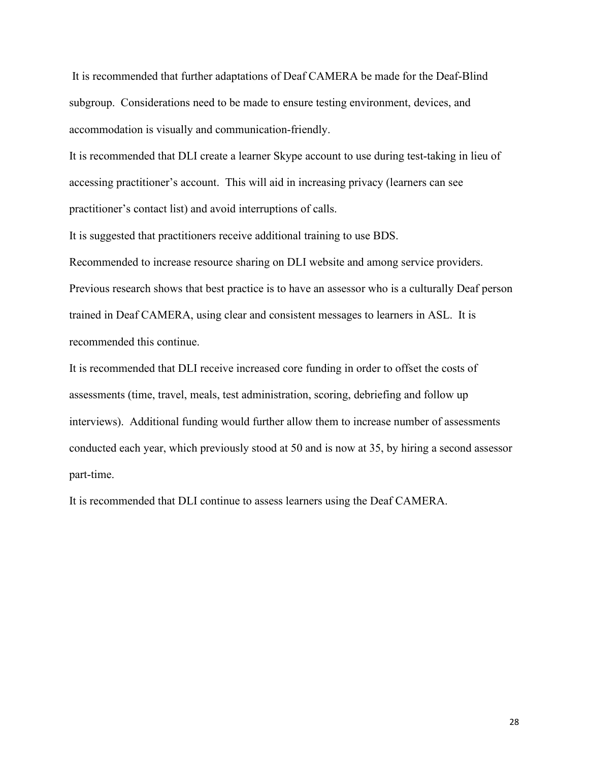It is recommended that further adaptations of Deaf CAMERA be made for the Deaf-Blind subgroup. Considerations need to be made to ensure testing environment, devices, and accommodation is visually and communication-friendly.

It is recommended that DLI create a learner Skype account to use during test-taking in lieu of accessing practitioner's account. This will aid in increasing privacy (learners can see practitioner's contact list) and avoid interruptions of calls.

It is suggested that practitioners receive additional training to use BDS.

Recommended to increase resource sharing on DLI website and among service providers. Previous research shows that best practice is to have an assessor who is a culturally Deaf person trained in Deaf CAMERA, using clear and consistent messages to learners in ASL. It is recommended this continue.

It is recommended that DLI receive increased core funding in order to offset the costs of assessments (time, travel, meals, test administration, scoring, debriefing and follow up interviews). Additional funding would further allow them to increase number of assessments conducted each year, which previously stood at 50 and is now at 35, by hiring a second assessor part-time.

It is recommended that DLI continue to assess learners using the Deaf CAMERA.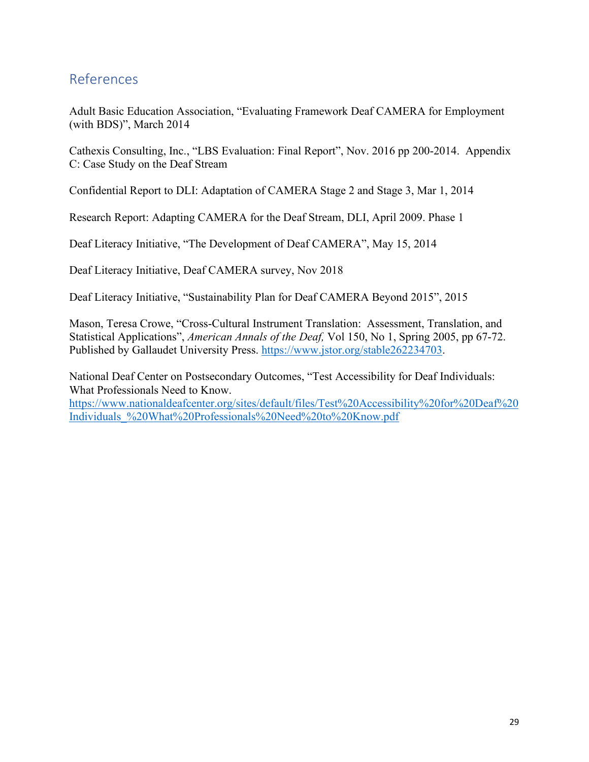# <span id="page-29-0"></span>References

Adult Basic Education Association, "Evaluating Framework Deaf CAMERA for Employment (with BDS)", March 2014

Cathexis Consulting, Inc., "LBS Evaluation: Final Report", Nov. 2016 pp 200-2014. Appendix C: Case Study on the Deaf Stream

Confidential Report to DLI: Adaptation of CAMERA Stage 2 and Stage 3, Mar 1, 2014

Research Report: Adapting CAMERA for the Deaf Stream, DLI, April 2009. Phase 1

Deaf Literacy Initiative, "The Development of Deaf CAMERA", May 15, 2014

Deaf Literacy Initiative, Deaf CAMERA survey, Nov 2018

Deaf Literacy Initiative, "Sustainability Plan for Deaf CAMERA Beyond 2015", 2015

Mason, Teresa Crowe, "Cross-Cultural Instrument Translation: Assessment, Translation, and Statistical Applications", *American Annals of the Deaf,* Vol 150, No 1, Spring 2005, pp 67-72. Published by Gallaudet University Press. [https://www.jstor.org/stable262234703.](https://www.jstor.org/stable262234703)

National Deaf Center on Postsecondary Outcomes, "Test Accessibility for Deaf Individuals: What Professionals Need to Know.

[https://www.nationaldeafcenter.org/sites/default/files/Test%20Accessibility%20for%20Deaf%20](https://www.nationaldeafcenter.org/sites/default/files/Test%20Accessibility%20for%20Deaf%20Individuals_%20What%20Professionals%20Need%20to%20Know.pdf) [Individuals\\_%20What%20Professionals%20Need%20to%20Know.pdf](https://www.nationaldeafcenter.org/sites/default/files/Test%20Accessibility%20for%20Deaf%20Individuals_%20What%20Professionals%20Need%20to%20Know.pdf)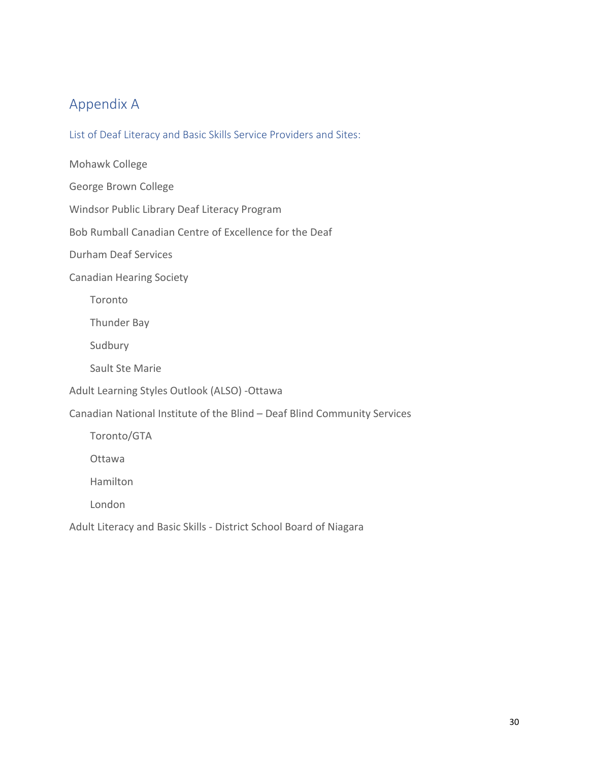# <span id="page-30-0"></span>Appendix A

<span id="page-30-1"></span>List of Deaf Literacy and Basic Skills Service Providers and Sites:

Mohawk College

George Brown College

Windsor Public Library Deaf Literacy Program

Bob Rumball Canadian Centre of Excellence for the Deaf

Durham Deaf Services

Canadian Hearing Society

Toronto

Thunder Bay

Sudbury

Sault Ste Marie

Adult Learning Styles Outlook (ALSO) -Ottawa

Canadian National Institute of the Blind – Deaf Blind Community Services

Toronto/GTA

Ottawa

Hamilton

London

Adult Literacy and Basic Skills - District School Board of Niagara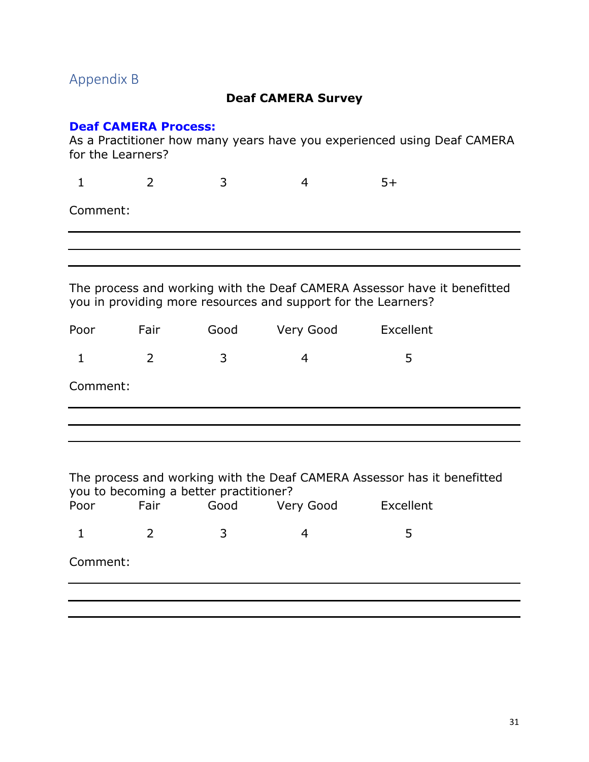# <span id="page-31-0"></span>Appendix B

#### **Deaf CAMERA Survey**

#### **Deaf CAMERA Process:**

As a Practitioner how many years have you experienced using Deaf CAMERA for the Learners?

|          | $\blacksquare$ |  |  |
|----------|----------------|--|--|
| Comment: |                |  |  |

The process and working with the Deaf CAMERA Assessor have it benefitted you in providing more resources and support for the Learners?

| Poor     | Fair          | Good | Very Good | Excellent |  |
|----------|---------------|------|-----------|-----------|--|
|          | $\mathcal{D}$ | ़२   |           | ∽         |  |
| Comment: |               |      |           |           |  |

| The process and working with the Deaf CAMERA Assessor has it benefitted<br>you to becoming a better practitioner? |      |      |           |           |  |  |
|-------------------------------------------------------------------------------------------------------------------|------|------|-----------|-----------|--|--|
| Poor                                                                                                              | Fair | Good | Very Good | Excellent |  |  |
|                                                                                                                   | 2    | 3    |           | 5         |  |  |
| Comment:                                                                                                          |      |      |           |           |  |  |
|                                                                                                                   |      |      |           |           |  |  |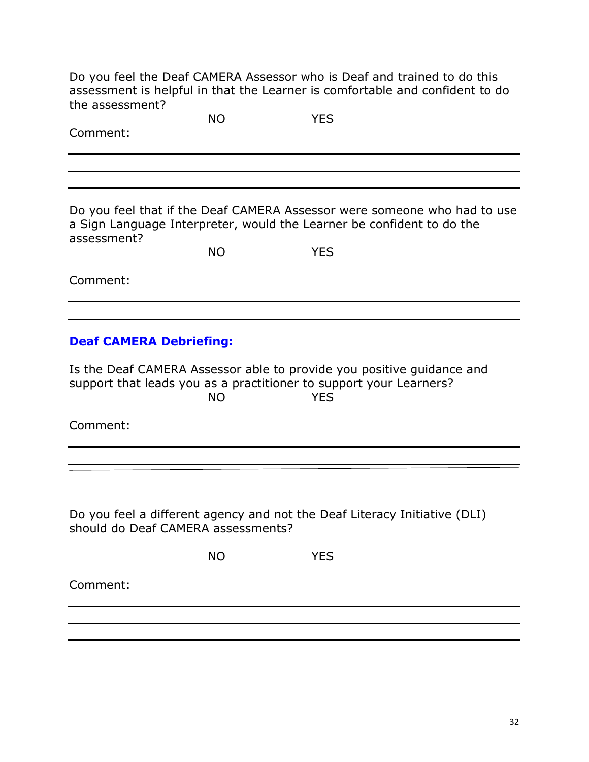Do you feel the Deaf CAMERA Assessor who is Deaf and trained to do this assessment is helpful in that the Learner is comfortable and confident to do the assessment?

| Comment:                                                                                                                                    | <b>NO</b> | <b>YES</b> |                                                                          |
|---------------------------------------------------------------------------------------------------------------------------------------------|-----------|------------|--------------------------------------------------------------------------|
|                                                                                                                                             |           |            |                                                                          |
|                                                                                                                                             |           |            |                                                                          |
|                                                                                                                                             |           |            |                                                                          |
| a Sign Language Interpreter, would the Learner be confident to do the<br>assessment?                                                        |           |            | Do you feel that if the Deaf CAMERA Assessor were someone who had to use |
|                                                                                                                                             | <b>NO</b> | <b>YES</b> |                                                                          |
| Comment:                                                                                                                                    |           |            |                                                                          |
|                                                                                                                                             |           |            |                                                                          |
| <b>Deaf CAMERA Debriefing:</b>                                                                                                              |           |            |                                                                          |
| Is the Deaf CAMERA Assessor able to provide you positive guidance and<br>support that leads you as a practitioner to support your Learners? | <b>NO</b> | <b>YES</b> |                                                                          |
| Comment:                                                                                                                                    |           |            |                                                                          |
|                                                                                                                                             |           |            |                                                                          |
|                                                                                                                                             |           |            |                                                                          |
| Do you feel a different agency and not the Deaf Literacy Initiative (DLI)<br>should do Deaf CAMERA assessments?                             |           |            |                                                                          |
|                                                                                                                                             | <b>NO</b> | <b>YES</b> |                                                                          |
| Comment:                                                                                                                                    |           |            |                                                                          |
|                                                                                                                                             |           |            |                                                                          |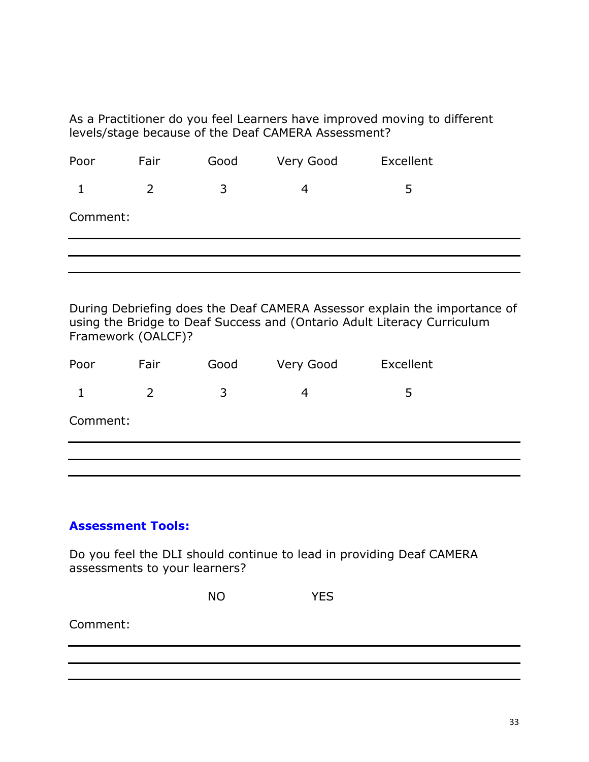As a Practitioner do you feel Learners have improved moving to different levels/stage because of the Deaf CAMERA Assessment?

| Poor     | Fair           | Good | Very Good | Excellent |  |
|----------|----------------|------|-----------|-----------|--|
|          | $\overline{2}$ | 3    | 4         | 5         |  |
| Comment: |                |      |           |           |  |
|          |                |      |           |           |  |
|          |                |      |           |           |  |

During Debriefing does the Deaf CAMERA Assessor explain the importance of using the Bridge to Deaf Success and (Ontario Adult Literacy Curriculum Framework (OALCF)?

| Poor     | Fair           | Good | Very Good | Excellent |  |
|----------|----------------|------|-----------|-----------|--|
|          | $\overline{2}$ | 3    | 4         | 5         |  |
| Comment: |                |      |           |           |  |
|          |                |      |           |           |  |

#### **Assessment Tools:**

Do you feel the DLI should continue to lead in providing Deaf CAMERA assessments to your learners?

| <b>NO</b> | <b>YES</b> |
|-----------|------------|
|-----------|------------|

Comment: